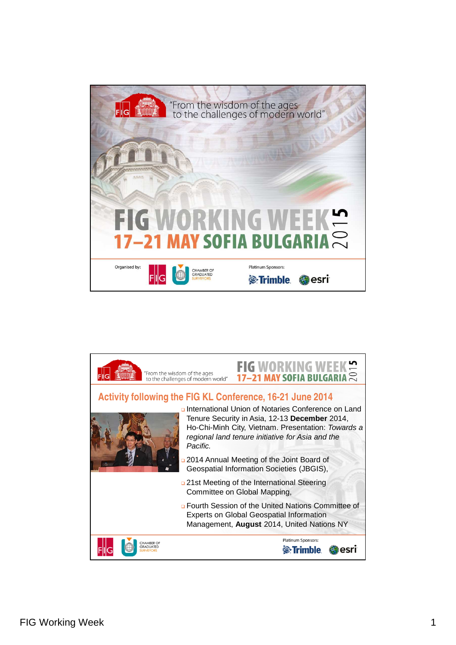

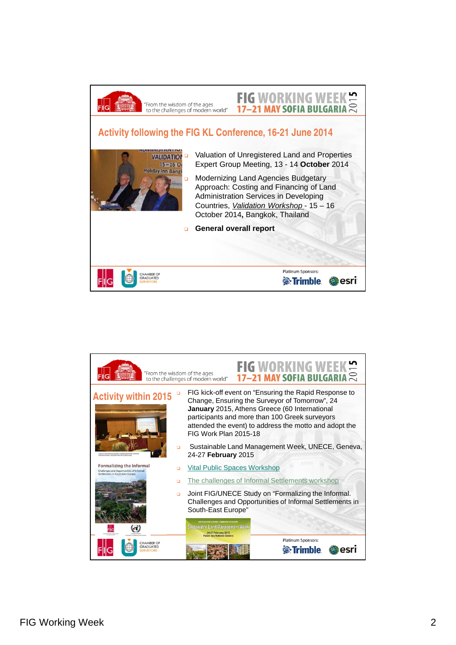